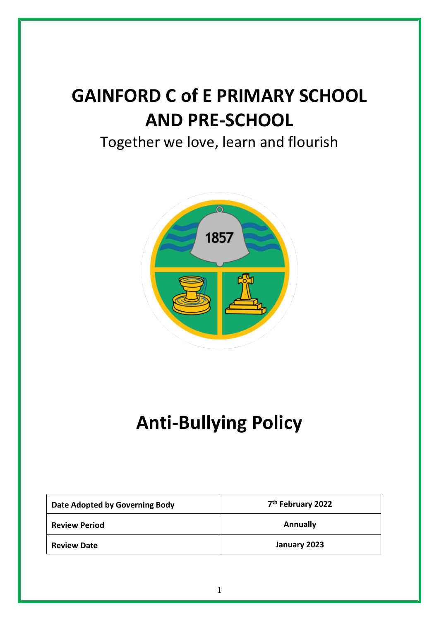# **GAINFORD C of E PRIMARY SCHOOL AND PRE-SCHOOL**

# Together we love, learn and flourish



# **Anti-Bullying Policy**

| Date Adopted by Governing Body | 7 <sup>th</sup> February 2022 |
|--------------------------------|-------------------------------|
| <b>Review Period</b>           | <b>Annually</b>               |
| <b>Review Date</b>             | January 2023                  |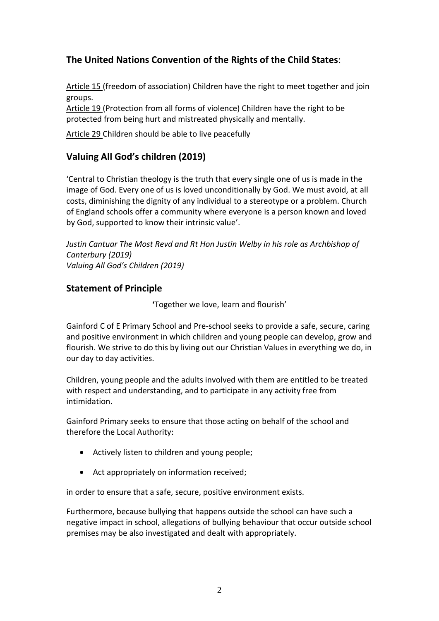# **The United Nations Convention of the Rights of the Child States**:

Article 15 (freedom of association) Children have the right to meet together and join groups.

Article 19 (Protection from all forms of violence) Children have the right to be protected from being hurt and mistreated physically and mentally.

Article 29 Children should be able to live peacefully

# **Valuing All God's children (2019)**

'Central to Christian theology is the truth that every single one of us is made in the image of God. Every one of us is loved unconditionally by God. We must avoid, at all costs, diminishing the dignity of any individual to a stereotype or a problem. Church of England schools offer a community where everyone is a person known and loved by God, supported to know their intrinsic value'.

*Justin Cantuar The Most Revd and Rt Hon Justin Welby in his role as Archbishop of Canterbury (2019) Valuing All God's Children (2019)*

# **Statement of Principle**

**'**Together we love, learn and flourish'

Gainford C of E Primary School and Pre-school seeks to provide a safe, secure, caring and positive environment in which children and young people can develop, grow and flourish. We strive to do this by living out our Christian Values in everything we do, in our day to day activities.

Children, young people and the adults involved with them are entitled to be treated with respect and understanding, and to participate in any activity free from intimidation.

Gainford Primary seeks to ensure that those acting on behalf of the school and therefore the Local Authority:

- Actively listen to children and young people;
- Act appropriately on information received;

in order to ensure that a safe, secure, positive environment exists.

Furthermore, because bullying that happens outside the school can have such a negative impact in school, allegations of bullying behaviour that occur outside school premises may be also investigated and dealt with appropriately.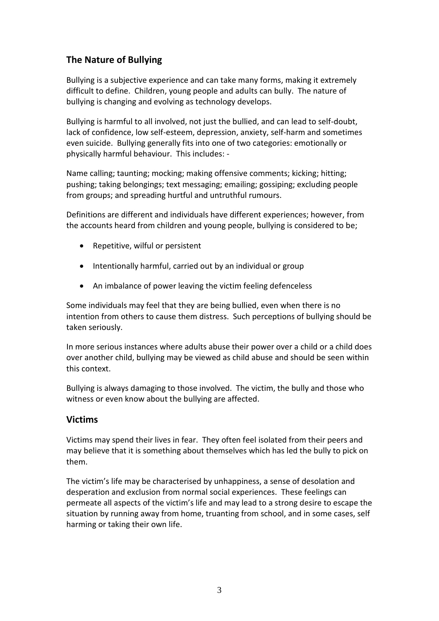# **The Nature of Bullying**

Bullying is a subjective experience and can take many forms, making it extremely difficult to define. Children, young people and adults can bully. The nature of bullying is changing and evolving as technology develops.

Bullying is harmful to all involved, not just the bullied, and can lead to self-doubt, lack of confidence, low self-esteem, depression, anxiety, self-harm and sometimes even suicide. Bullying generally fits into one of two categories: emotionally or physically harmful behaviour. This includes: -

Name calling; taunting; mocking; making offensive comments; kicking; hitting; pushing; taking belongings; text messaging; emailing; gossiping; excluding people from groups; and spreading hurtful and untruthful rumours.

Definitions are different and individuals have different experiences; however, from the accounts heard from children and young people, bullying is considered to be;

- Repetitive, wilful or persistent
- Intentionally harmful, carried out by an individual or group
- An imbalance of power leaving the victim feeling defenceless

Some individuals may feel that they are being bullied, even when there is no intention from others to cause them distress. Such perceptions of bullying should be taken seriously.

In more serious instances where adults abuse their power over a child or a child does over another child, bullying may be viewed as child abuse and should be seen within this context.

Bullying is always damaging to those involved. The victim, the bully and those who witness or even know about the bullying are affected.

# **Victims**

Victims may spend their lives in fear. They often feel isolated from their peers and may believe that it is something about themselves which has led the bully to pick on them.

The victim's life may be characterised by unhappiness, a sense of desolation and desperation and exclusion from normal social experiences. These feelings can permeate all aspects of the victim's life and may lead to a strong desire to escape the situation by running away from home, truanting from school, and in some cases, self harming or taking their own life.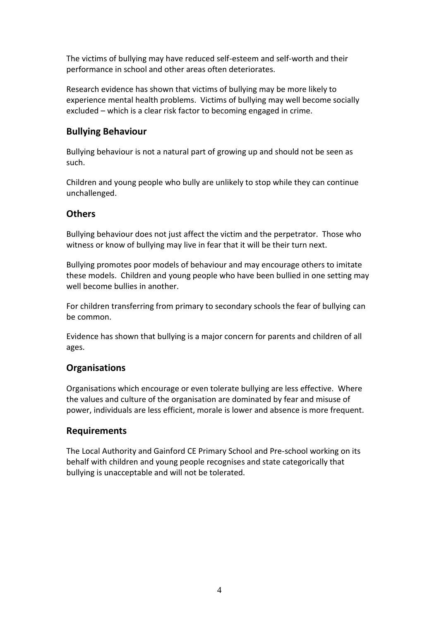The victims of bullying may have reduced self-esteem and self-worth and their performance in school and other areas often deteriorates.

Research evidence has shown that victims of bullying may be more likely to experience mental health problems. Victims of bullying may well become socially excluded – which is a clear risk factor to becoming engaged in crime.

# **Bullying Behaviour**

Bullying behaviour is not a natural part of growing up and should not be seen as such.

Children and young people who bully are unlikely to stop while they can continue unchallenged.

# **Others**

Bullying behaviour does not just affect the victim and the perpetrator. Those who witness or know of bullying may live in fear that it will be their turn next.

Bullying promotes poor models of behaviour and may encourage others to imitate these models. Children and young people who have been bullied in one setting may well become bullies in another.

For children transferring from primary to secondary schools the fear of bullying can be common.

Evidence has shown that bullying is a major concern for parents and children of all ages.

# **Organisations**

Organisations which encourage or even tolerate bullying are less effective. Where the values and culture of the organisation are dominated by fear and misuse of power, individuals are less efficient, morale is lower and absence is more frequent.

# **Requirements**

The Local Authority and Gainford CE Primary School and Pre-school working on its behalf with children and young people recognises and state categorically that bullying is unacceptable and will not be tolerated.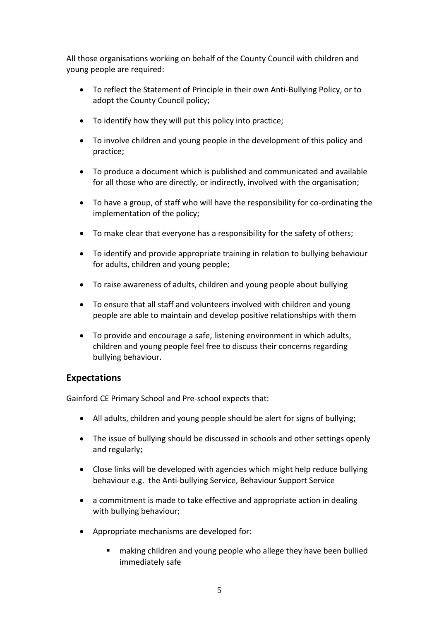All those organisations working on behalf of the County Council with children and young people are required:

- To reflect the Statement of Principle in their own Anti-Bullying Policy, or to adopt the County Council policy;
- To identify how they will put this policy into practice;
- To involve children and young people in the development of this policy and practice;
- To produce a document which is published and communicated and available for all those who are directly, or indirectly, involved with the organisation;
- To have a group, of staff who will have the responsibility for co-ordinating the implementation of the policy;
- To make clear that everyone has a responsibility for the safety of others;
- To identify and provide appropriate training in relation to bullying behaviour for adults, children and young people;
- To raise awareness of adults, children and young people about bullying
- To ensure that all staff and volunteers involved with children and young people are able to maintain and develop positive relationships with them
- To provide and encourage a safe, listening environment in which adults, children and young people feel free to discuss their concerns regarding bullying behaviour.

# **Expectations**

Gainford CE Primary School and Pre-school expects that:

- All adults, children and young people should be alert for signs of bullying;
- The issue of bullying should be discussed in schools and other settings openly and regularly;
- Close links will be developed with agencies which might help reduce bullying behaviour e.g. the Anti-bullying Service, Behaviour Support Service
- a commitment is made to take effective and appropriate action in dealing with bullying behaviour;
- Appropriate mechanisms are developed for:
	- making children and young people who allege they have been bullied immediately safe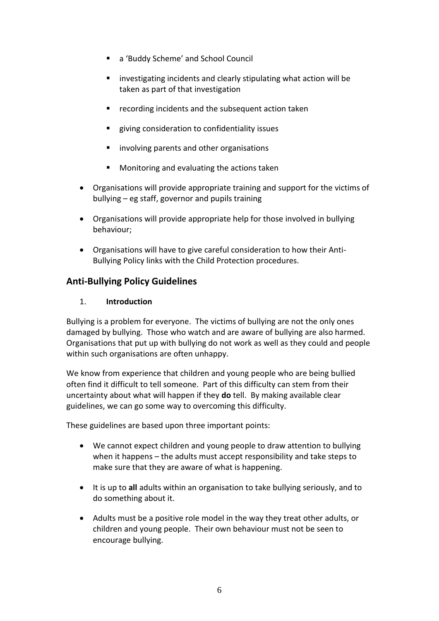- a 'Buddy Scheme' and School Council
- investigating incidents and clearly stipulating what action will be taken as part of that investigation
- recording incidents and the subsequent action taken
- giving consideration to confidentiality issues
- involving parents and other organisations
- Monitoring and evaluating the actions taken
- Organisations will provide appropriate training and support for the victims of bullying – eg staff, governor and pupils training
- Organisations will provide appropriate help for those involved in bullying behaviour;
- Organisations will have to give careful consideration to how their Anti-Bullying Policy links with the Child Protection procedures.

# **Anti-Bullying Policy Guidelines**

# 1. **Introduction**

Bullying is a problem for everyone. The victims of bullying are not the only ones damaged by bullying. Those who watch and are aware of bullying are also harmed. Organisations that put up with bullying do not work as well as they could and people within such organisations are often unhappy.

We know from experience that children and young people who are being bullied often find it difficult to tell someone. Part of this difficulty can stem from their uncertainty about what will happen if they **do** tell. By making available clear guidelines, we can go some way to overcoming this difficulty.

These guidelines are based upon three important points:

- We cannot expect children and young people to draw attention to bullying when it happens – the adults must accept responsibility and take steps to make sure that they are aware of what is happening.
- It is up to **all** adults within an organisation to take bullying seriously, and to do something about it.
- Adults must be a positive role model in the way they treat other adults, or children and young people. Their own behaviour must not be seen to encourage bullying.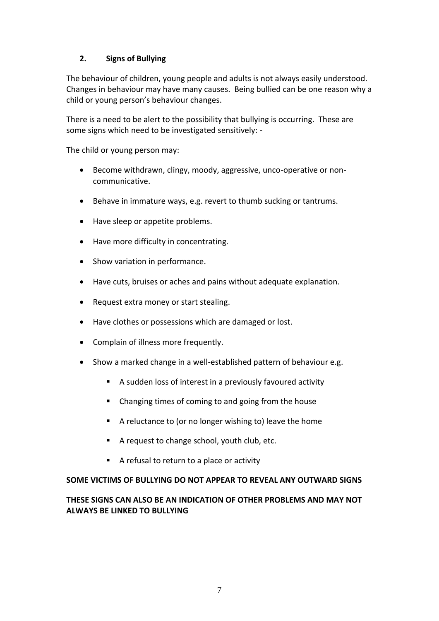# **2. Signs of Bullying**

The behaviour of children, young people and adults is not always easily understood. Changes in behaviour may have many causes. Being bullied can be one reason why a child or young person's behaviour changes.

There is a need to be alert to the possibility that bullying is occurring. These are some signs which need to be investigated sensitively: -

The child or young person may:

- Become withdrawn, clingy, moody, aggressive, unco-operative or noncommunicative.
- Behave in immature ways, e.g. revert to thumb sucking or tantrums.
- Have sleep or appetite problems.
- Have more difficulty in concentrating.
- Show variation in performance.
- Have cuts, bruises or aches and pains without adequate explanation.
- Request extra money or start stealing.
- Have clothes or possessions which are damaged or lost.
- Complain of illness more frequently.
- Show a marked change in a well-established pattern of behaviour e.g.
	- A sudden loss of interest in a previously favoured activity
	- Changing times of coming to and going from the house
	- A reluctance to (or no longer wishing to) leave the home
	- A request to change school, youth club, etc.
	- A refusal to return to a place or activity

#### **SOME VICTIMS OF BULLYING DO NOT APPEAR TO REVEAL ANY OUTWARD SIGNS**

# **THESE SIGNS CAN ALSO BE AN INDICATION OF OTHER PROBLEMS AND MAY NOT ALWAYS BE LINKED TO BULLYING**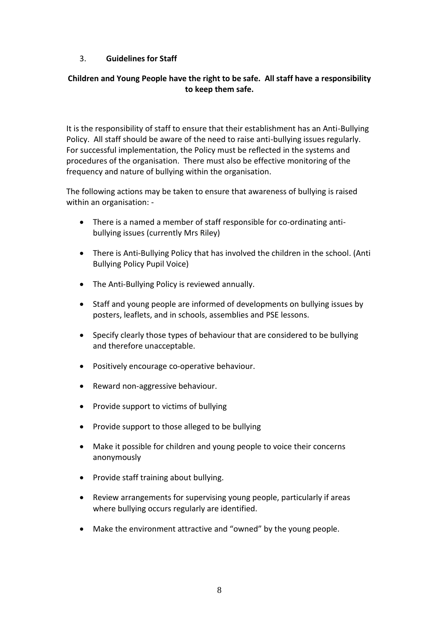# 3. **Guidelines for Staff**

# **Children and Young People have the right to be safe. All staff have a responsibility to keep them safe.**

It is the responsibility of staff to ensure that their establishment has an Anti-Bullying Policy. All staff should be aware of the need to raise anti-bullying issues regularly. For successful implementation, the Policy must be reflected in the systems and procedures of the organisation. There must also be effective monitoring of the frequency and nature of bullying within the organisation.

The following actions may be taken to ensure that awareness of bullying is raised within an organisation: -

- There is a named a member of staff responsible for co-ordinating antibullying issues (currently Mrs Riley)
- There is Anti-Bullying Policy that has involved the children in the school. (Anti Bullying Policy Pupil Voice)
- The Anti-Bullying Policy is reviewed annually.
- Staff and young people are informed of developments on bullying issues by posters, leaflets, and in schools, assemblies and PSE lessons.
- Specify clearly those types of behaviour that are considered to be bullying and therefore unacceptable.
- Positively encourage co-operative behaviour.
- Reward non-aggressive behaviour.
- Provide support to victims of bullying
- Provide support to those alleged to be bullying
- Make it possible for children and young people to voice their concerns anonymously
- Provide staff training about bullying.
- Review arrangements for supervising young people, particularly if areas where bullying occurs regularly are identified.
- Make the environment attractive and "owned" by the young people.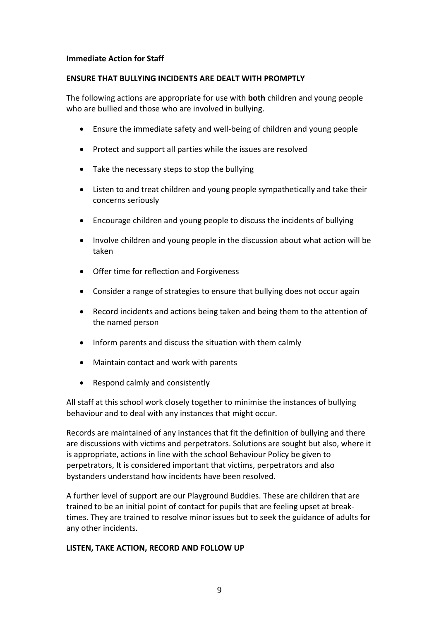#### **Immediate Action for Staff**

#### **ENSURE THAT BULLYING INCIDENTS ARE DEALT WITH PROMPTLY**

The following actions are appropriate for use with **both** children and young people who are bullied and those who are involved in bullying.

- Ensure the immediate safety and well-being of children and young people
- Protect and support all parties while the issues are resolved
- Take the necessary steps to stop the bullying
- Listen to and treat children and young people sympathetically and take their concerns seriously
- Encourage children and young people to discuss the incidents of bullying
- Involve children and young people in the discussion about what action will be taken
- Offer time for reflection and Forgiveness
- Consider a range of strategies to ensure that bullying does not occur again
- Record incidents and actions being taken and being them to the attention of the named person
- Inform parents and discuss the situation with them calmly
- Maintain contact and work with parents
- Respond calmly and consistently

All staff at this school work closely together to minimise the instances of bullying behaviour and to deal with any instances that might occur.

Records are maintained of any instances that fit the definition of bullying and there are discussions with victims and perpetrators. Solutions are sought but also, where it is appropriate, actions in line with the school Behaviour Policy be given to perpetrators, It is considered important that victims, perpetrators and also bystanders understand how incidents have been resolved.

A further level of support are our Playground Buddies. These are children that are trained to be an initial point of contact for pupils that are feeling upset at breaktimes. They are trained to resolve minor issues but to seek the guidance of adults for any other incidents.

#### **LISTEN, TAKE ACTION, RECORD AND FOLLOW UP**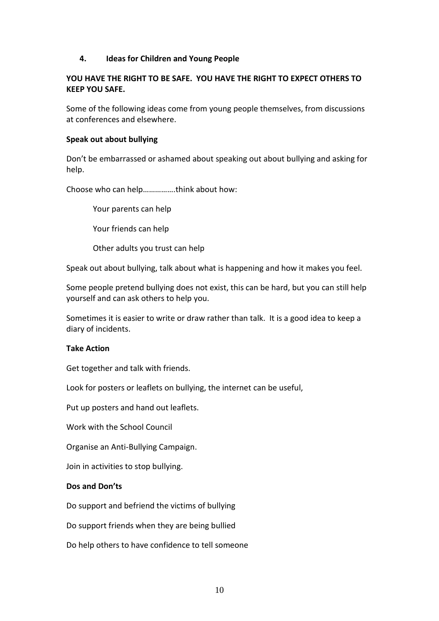#### **4. Ideas for Children and Young People**

#### **YOU HAVE THE RIGHT TO BE SAFE. YOU HAVE THE RIGHT TO EXPECT OTHERS TO KEEP YOU SAFE.**

Some of the following ideas come from young people themselves, from discussions at conferences and elsewhere.

#### **Speak out about bullying**

Don't be embarrassed or ashamed about speaking out about bullying and asking for help.

Choose who can help…………….think about how:

Your parents can help

Your friends can help

Other adults you trust can help

Speak out about bullying, talk about what is happening and how it makes you feel.

Some people pretend bullying does not exist, this can be hard, but you can still help yourself and can ask others to help you.

Sometimes it is easier to write or draw rather than talk. It is a good idea to keep a diary of incidents.

#### **Take Action**

Get together and talk with friends.

Look for posters or leaflets on bullying, the internet can be useful,

Put up posters and hand out leaflets.

Work with the School Council

Organise an Anti-Bullying Campaign.

Join in activities to stop bullying.

#### **Dos and Don'ts**

Do support and befriend the victims of bullying

Do support friends when they are being bullied

Do help others to have confidence to tell someone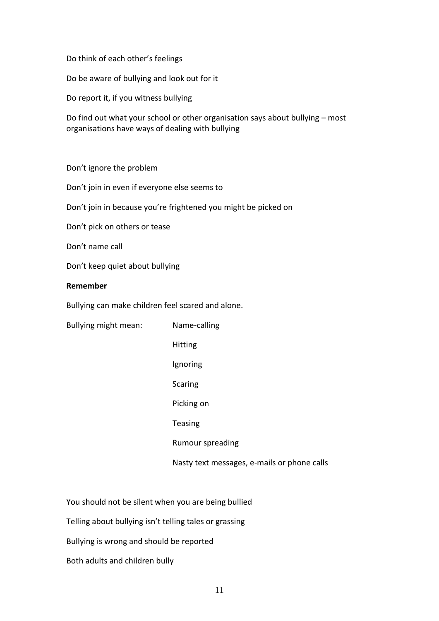Do think of each other's feelings

Do be aware of bullying and look out for it

Do report it, if you witness bullying

Do find out what your school or other organisation says about bullying – most organisations have ways of dealing with bullying

Don't ignore the problem

Don't join in even if everyone else seems to

Don't join in because you're frightened you might be picked on

Don't pick on others or tease

Don't name call

Don't keep quiet about bullying

#### **Remember**

Bullying can make children feel scared and alone.

| Bullying might mean: | Name-calling                                |
|----------------------|---------------------------------------------|
|                      | Hitting                                     |
|                      | Ignoring                                    |
|                      | <b>Scaring</b>                              |
|                      | Picking on                                  |
|                      | <b>Teasing</b>                              |
|                      | Rumour spreading                            |
|                      | Nasty text messages, e-mails or phone calls |

You should not be silent when you are being bullied

Telling about bullying isn't telling tales or grassing

Bullying is wrong and should be reported

Both adults and children bully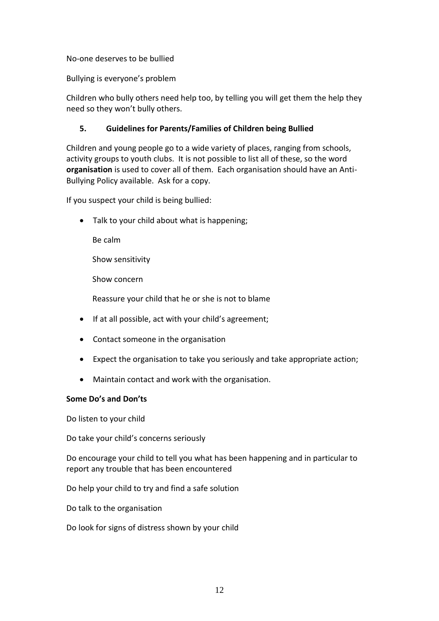No-one deserves to be bullied

Bullying is everyone's problem

Children who bully others need help too, by telling you will get them the help they need so they won't bully others.

# **5. Guidelines for Parents/Families of Children being Bullied**

Children and young people go to a wide variety of places, ranging from schools, activity groups to youth clubs. It is not possible to list all of these, so the word **organisation** is used to cover all of them. Each organisation should have an Anti-Bullying Policy available. Ask for a copy.

If you suspect your child is being bullied:

• Talk to your child about what is happening;

Be calm

Show sensitivity

Show concern

Reassure your child that he or she is not to blame

- If at all possible, act with your child's agreement;
- Contact someone in the organisation
- Expect the organisation to take you seriously and take appropriate action;
- Maintain contact and work with the organisation.

# **Some Do's and Don'ts**

Do listen to your child

Do take your child's concerns seriously

Do encourage your child to tell you what has been happening and in particular to report any trouble that has been encountered

Do help your child to try and find a safe solution

Do talk to the organisation

Do look for signs of distress shown by your child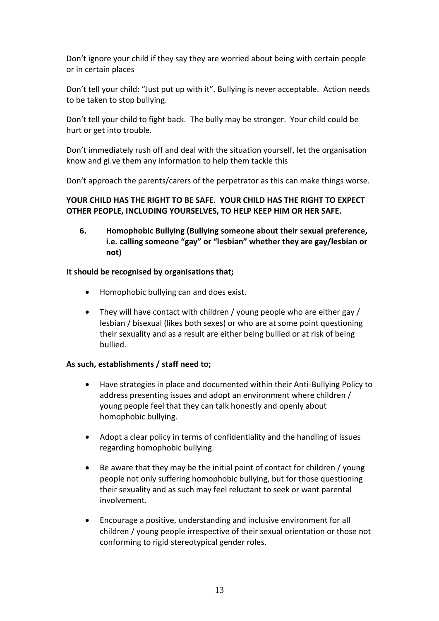Don't ignore your child if they say they are worried about being with certain people or in certain places

Don't tell your child: "Just put up with it". Bullying is never acceptable. Action needs to be taken to stop bullying.

Don't tell your child to fight back. The bully may be stronger. Your child could be hurt or get into trouble.

Don't immediately rush off and deal with the situation yourself, let the organisation know and gi.ve them any information to help them tackle this

Don't approach the parents/carers of the perpetrator as this can make things worse.

# **YOUR CHILD HAS THE RIGHT TO BE SAFE. YOUR CHILD HAS THE RIGHT TO EXPECT OTHER PEOPLE, INCLUDING YOURSELVES, TO HELP KEEP HIM OR HER SAFE.**

**6. Homophobic Bullying (Bullying someone about their sexual preference, i.e. calling someone "gay" or "lesbian" whether they are gay/lesbian or not)**

# **It should be recognised by organisations that;**

- Homophobic bullying can and does exist.
- They will have contact with children / young people who are either gay / lesbian / bisexual (likes both sexes) or who are at some point questioning their sexuality and as a result are either being bullied or at risk of being bullied.

# **As such, establishments / staff need to;**

- Have strategies in place and documented within their Anti-Bullying Policy to address presenting issues and adopt an environment where children / young people feel that they can talk honestly and openly about homophobic bullying.
- Adopt a clear policy in terms of confidentiality and the handling of issues regarding homophobic bullying.
- Be aware that they may be the initial point of contact for children / young people not only suffering homophobic bullying, but for those questioning their sexuality and as such may feel reluctant to seek or want parental involvement.
- Encourage a positive, understanding and inclusive environment for all children / young people irrespective of their sexual orientation or those not conforming to rigid stereotypical gender roles.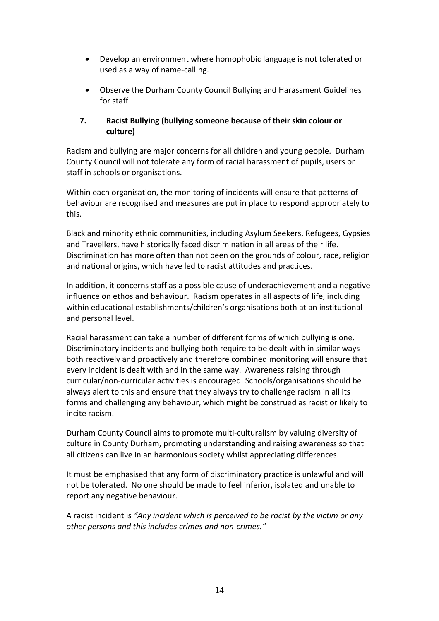- Develop an environment where homophobic language is not tolerated or used as a way of name-calling.
- Observe the Durham County Council Bullying and Harassment Guidelines for staff

# **7. Racist Bullying (bullying someone because of their skin colour or culture)**

Racism and bullying are major concerns for all children and young people. Durham County Council will not tolerate any form of racial harassment of pupils, users or staff in schools or organisations.

Within each organisation, the monitoring of incidents will ensure that patterns of behaviour are recognised and measures are put in place to respond appropriately to this.

Black and minority ethnic communities, including Asylum Seekers, Refugees, Gypsies and Travellers, have historically faced discrimination in all areas of their life. Discrimination has more often than not been on the grounds of colour, race, religion and national origins, which have led to racist attitudes and practices.

In addition, it concerns staff as a possible cause of underachievement and a negative influence on ethos and behaviour. Racism operates in all aspects of life, including within educational establishments/children's organisations both at an institutional and personal level.

Racial harassment can take a number of different forms of which bullying is one. Discriminatory incidents and bullying both require to be dealt with in similar ways both reactively and proactively and therefore combined monitoring will ensure that every incident is dealt with and in the same way. Awareness raising through curricular/non-curricular activities is encouraged. Schools/organisations should be always alert to this and ensure that they always try to challenge racism in all its forms and challenging any behaviour, which might be construed as racist or likely to incite racism.

Durham County Council aims to promote multi-culturalism by valuing diversity of culture in County Durham, promoting understanding and raising awareness so that all citizens can live in an harmonious society whilst appreciating differences.

It must be emphasised that any form of discriminatory practice is unlawful and will not be tolerated. No one should be made to feel inferior, isolated and unable to report any negative behaviour.

A racist incident is *"Any incident which is perceived to be racist by the victim or any other persons and this includes crimes and non-crimes."*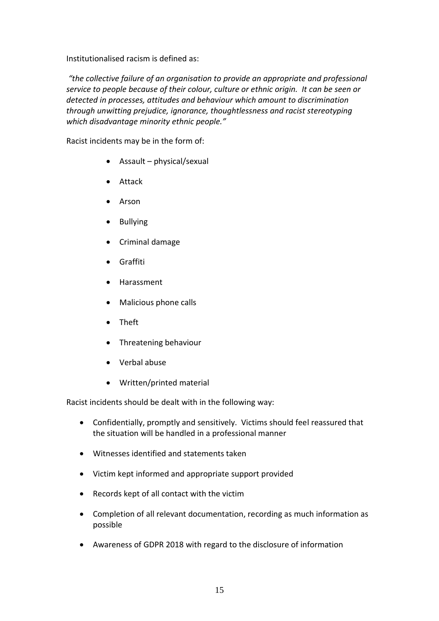Institutionalised racism is defined as:

*"the collective failure of an organisation to provide an appropriate and professional service to people because of their colour, culture or ethnic origin. It can be seen or detected in processes, attitudes and behaviour which amount to discrimination through unwitting prejudice, ignorance, thoughtlessness and racist stereotyping which disadvantage minority ethnic people."* 

Racist incidents may be in the form of:

- Assault physical/sexual
- Attack
- Arson
- Bullying
- Criminal damage
- Graffiti
- Harassment
- Malicious phone calls
- Theft
- Threatening behaviour
- Verbal abuse
- Written/printed material

Racist incidents should be dealt with in the following way:

- Confidentially, promptly and sensitively. Victims should feel reassured that the situation will be handled in a professional manner
- Witnesses identified and statements taken
- Victim kept informed and appropriate support provided
- Records kept of all contact with the victim
- Completion of all relevant documentation, recording as much information as possible
- Awareness of GDPR 2018 with regard to the disclosure of information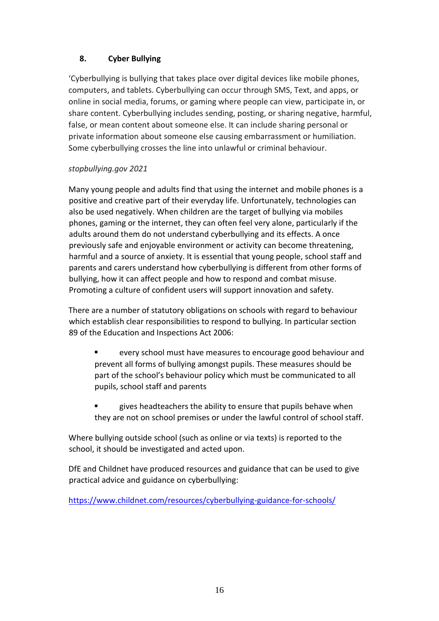# **8. Cyber Bullying**

'Cyberbullying is bullying that takes place over digital devices like mobile phones, computers, and tablets. Cyberbullying can occur through SMS, Text, and apps, or online in social media, forums, or gaming where people can view, participate in, or share content. Cyberbullying includes sending, posting, or sharing negative, harmful, false, or mean content about someone else. It can include sharing personal or private information about someone else causing embarrassment or humiliation. Some cyberbullying crosses the line into unlawful or criminal behaviour.

# *stopbullying.gov 2021*

Many young people and adults find that using the internet and mobile phones is a positive and creative part of their everyday life. Unfortunately, technologies can also be used negatively. When children are the target of bullying via mobiles phones, gaming or the internet, they can often feel very alone, particularly if the adults around them do not understand cyberbullying and its effects. A once previously safe and enjoyable environment or activity can become threatening, harmful and a source of anxiety. It is essential that young people, school staff and parents and carers understand how cyberbullying is different from other forms of bullying, how it can affect people and how to respond and combat misuse. Promoting a culture of confident users will support innovation and safety.

There are a number of statutory obligations on schools with regard to behaviour which establish clear responsibilities to respond to bullying. In particular section 89 of the Education and Inspections Act 2006:

- every school must have measures to encourage good behaviour and prevent all forms of bullying amongst pupils. These measures should be part of the school's behaviour policy which must be communicated to all pupils, school staff and parents
- gives headteachers the ability to ensure that pupils behave when they are not on school premises or under the lawful control of school staff.

Where bullying outside school (such as online or via texts) is reported to the school, it should be investigated and acted upon.

DfE and Childnet have produced resources and guidance that can be used to give practical advice and guidance on cyberbullying:

<https://www.childnet.com/resources/cyberbullying-guidance-for-schools/>